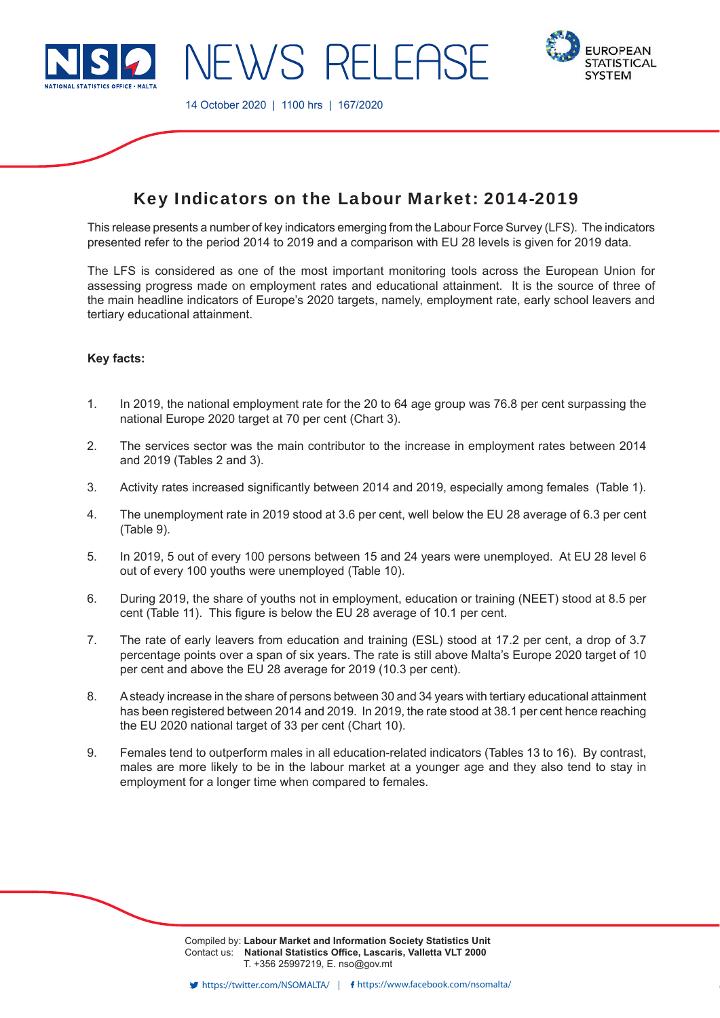

14 October 2020 | 1100 hrs | 167/2020



# Key Indicators on the Labour Market: 2014-2019

**EWS RELEAS** 

This release presents a number of key indicators emerging from the Labour Force Survey (LFS). The indicators presented refer to the period 2014 to 2019 and a comparison with EU 28 levels is given for 2019 data.

The LFS is considered as one of the most important monitoring tools across the European Union for assessing progress made on employment rates and educational attainment. It is the source of three of the main headline indicators of Europe's 2020 targets, namely, employment rate, early school leavers and tertiary educational attainment.

## **Key facts:**

- 1. In 2019, the national employment rate for the 20 to 64 age group was 76.8 per cent surpassing the national Europe 2020 target at 70 per cent (Chart 3).
- 2. The services sector was the main contributor to the increase in employment rates between 2014 and 2019 (Tables 2 and 3).
- 3. Activity rates increased significantly between 2014 and 2019, especially among females (Table 1).
- 4. The unemployment rate in 2019 stood at 3.6 per cent, well below the EU 28 average of 6.3 per cent (Table 9).
- 5. In 2019, 5 out of every 100 persons between 15 and 24 years were unemployed. At EU 28 level 6 out of every 100 youths were unemployed (Table 10).
- 6. During 2019, the share of youths not in employment, education or training (NEET) stood at 8.5 per cent (Table 11). This figure is below the EU 28 average of 10.1 per cent.
- 7. The rate of early leavers from education and training (ESL) stood at 17.2 per cent, a drop of 3.7 percentage points over a span of six years. The rate is still above Malta's Europe 2020 target of 10 per cent and above the EU 28 average for 2019 (10.3 per cent).
- 8. A steady increase in the share of persons between 30 and 34 years with tertiary educational attainment has been registered between 2014 and 2019. In 2019, the rate stood at 38.1 per cent hence reaching the EU 2020 national target of 33 per cent (Chart 10).
- 9. Females tend to outperform males in all education-related indicators (Tables 13 to 16). By contrast, males are more likely to be in the labour market at a younger age and they also tend to stay in employment for a longer time when compared to females.

Compiled by: **Labour Market and Information Society Statistics Unit** Contact us: National Statistics Office, Lascaris, Valletta VLT 2000 T. +356 25997219, E. nso@gov.mt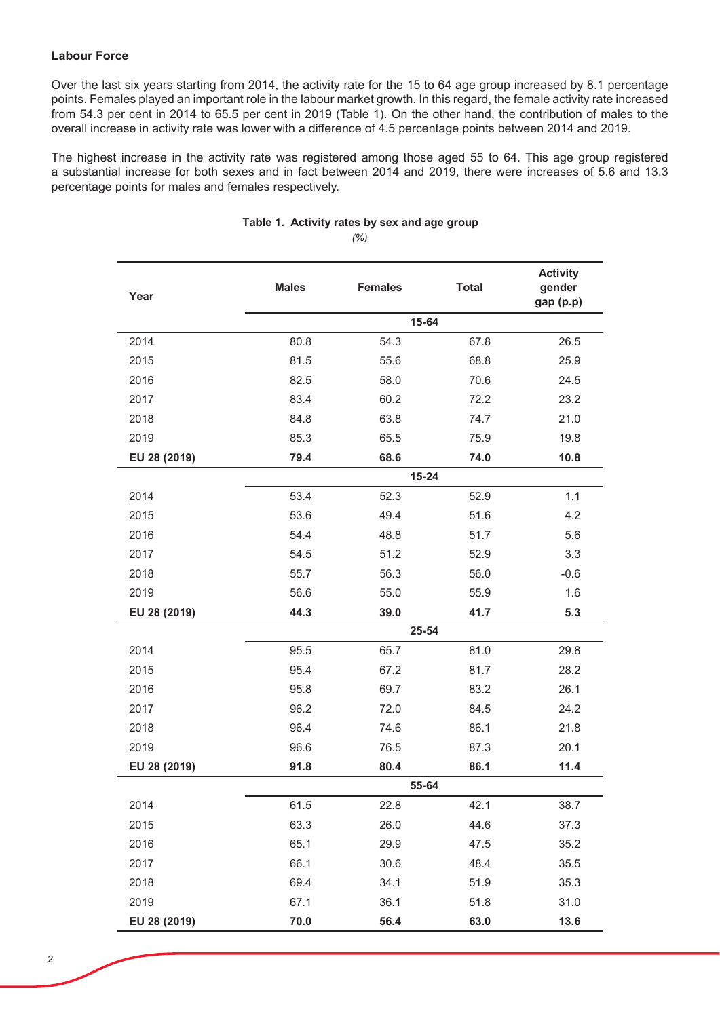## **Labour Force**

Over the last six years starting from 2014, the activity rate for the 15 to 64 age group increased by 8.1 percentage points. Females played an important role in the labour market growth. In this regard, the female activity rate increased from 54.3 per cent in 2014 to 65.5 per cent in 2019 (Table 1). On the other hand, the contribution of males to the overall increase in activity rate was lower with a difference of 4.5 percentage points between 2014 and 2019.

The highest increase in the activity rate was registered among those aged 55 to 64. This age group registered a substantial increase for both sexes and in fact between 2014 and 2019, there were increases of 5.6 and 13.3 percentage points for males and females respectively.

| Year         | <b>Males</b> | <b>Females</b> | <b>Total</b> | <b>Activity</b><br>gender<br>gap (p.p) |
|--------------|--------------|----------------|--------------|----------------------------------------|
|              |              | 15-64          |              |                                        |
| 2014         | 80.8         | 54.3           | 67.8         | 26.5                                   |
| 2015         | 81.5         | 55.6           | 68.8         | 25.9                                   |
| 2016         | 82.5         | 58.0           | 70.6         | 24.5                                   |
| 2017         | 83.4         | 60.2           | 72.2         | 23.2                                   |
| 2018         | 84.8         | 63.8           | 74.7         | 21.0                                   |
| 2019         | 85.3         | 65.5           | 75.9         | 19.8                                   |
| EU 28 (2019) | 79.4         | 68.6           | 74.0         | 10.8                                   |
|              |              | $15 - 24$      |              |                                        |
| 2014         | 53.4         | 52.3           | 52.9         | 1.1                                    |
| 2015         | 53.6         | 49.4           | 51.6         | 4.2                                    |
| 2016         | 54.4         | 48.8           | 51.7         | 5.6                                    |
| 2017         | 54.5         | 51.2           | 52.9         | 3.3                                    |
| 2018         | 55.7         | 56.3           | 56.0         | $-0.6$                                 |
| 2019         | 56.6         | 55.0           | 55.9         | 1.6                                    |
| EU 28 (2019) | 44.3         | 39.0           | 41.7         | 5.3                                    |
|              |              | 25-54          |              |                                        |
| 2014         | 95.5         | 65.7           | 81.0         | 29.8                                   |
| 2015         | 95.4         | 67.2           | 81.7         | 28.2                                   |
| 2016         | 95.8         | 69.7           | 83.2         | 26.1                                   |
| 2017         | 96.2         | 72.0           | 84.5         | 24.2                                   |
| 2018         | 96.4         | 74.6           | 86.1         | 21.8                                   |
| 2019         | 96.6         | 76.5           | 87.3         | 20.1                                   |
| EU 28 (2019) | 91.8         | 80.4           | 86.1         | 11.4                                   |
|              | 55-64        |                |              |                                        |
| 2014         | 61.5         | 22.8           | 42.1         | 38.7                                   |
| 2015         | 63.3         | 26.0           | 44.6         | 37.3                                   |
| 2016         | 65.1         | 29.9           | 47.5         | 35.2                                   |
| 2017         | 66.1         | 30.6           | 48.4         | 35.5                                   |
| 2018         | 69.4         | 34.1           | 51.9         | 35.3                                   |
| 2019         | 67.1         | 36.1           | 51.8         | 31.0                                   |
| EU 28 (2019) | 70.0         | 56.4           | 63.0         | 13.6                                   |

### *(%)* Table 1. Activity rates by sex and age group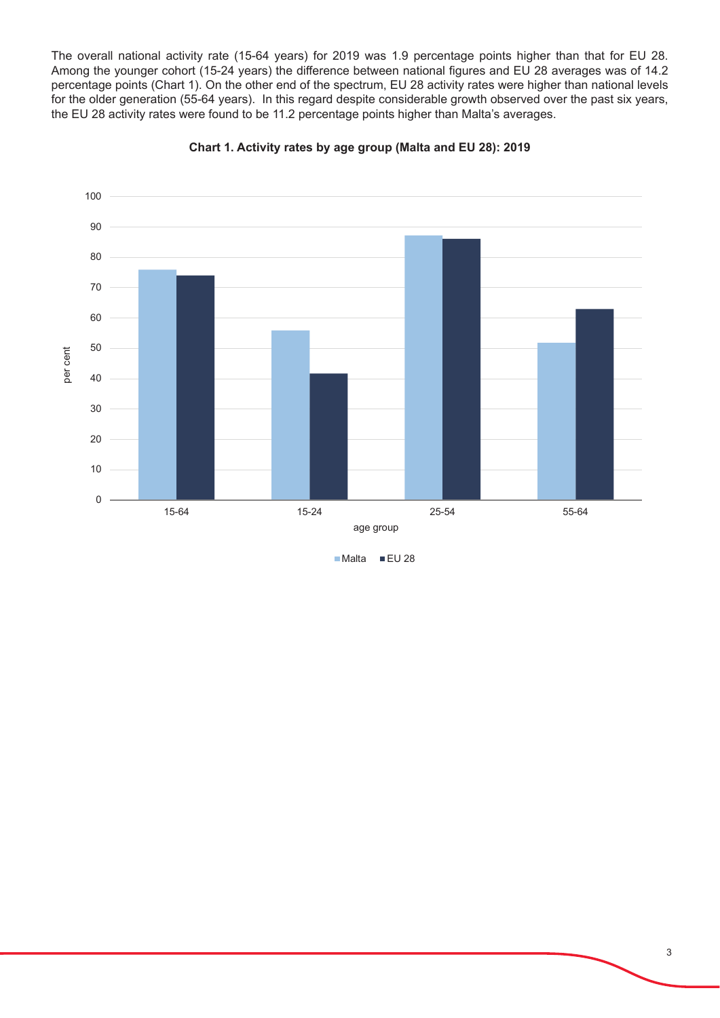The overall national activity rate (15-64 years) for 2019 was 1.9 percentage points higher than that for EU 28. Among the younger cohort (15-24 years) the difference between national figures and EU 28 averages was of 14.2 percentage points (Chart 1). On the other end of the spectrum, EU 28 activity rates were higher than national levels for the older generation (55-64 years). In this regard despite considerable growth observed over the past six years, the EU 28 activity rates were found to be 11.2 percentage points higher than Malta's averages.





 $M$ alta  $EU$  28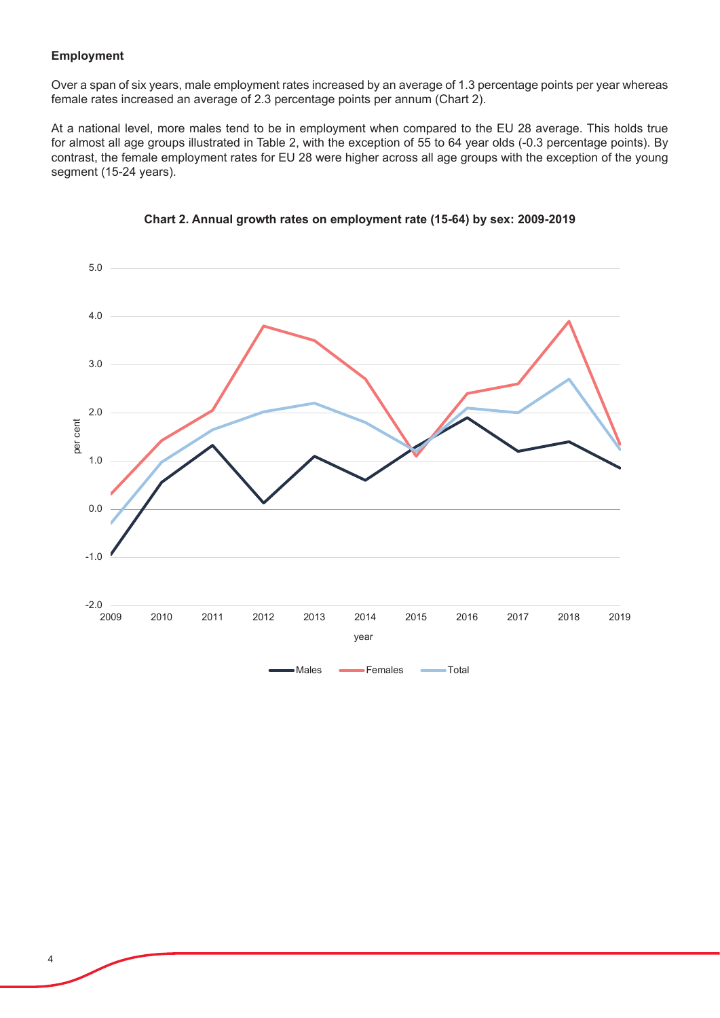# **Employment**

Over a span of six years, male employment rates increased by an average of 1.3 percentage points per year whereas female rates increased an average of 2.3 percentage points per annum (Chart 2).

At a national level, more males tend to be in employment when compared to the EU 28 average. This holds true for almost all age groups illustrated in Table 2, with the exception of 55 to 64 year olds (-0.3 percentage points). By contrast, the female employment rates for EU 28 were higher across all age groups with the exception of the young segment (15-24 years).



# **Chart 2. Annual growth rates on employment rate (15-64) by sex: 2009-2019**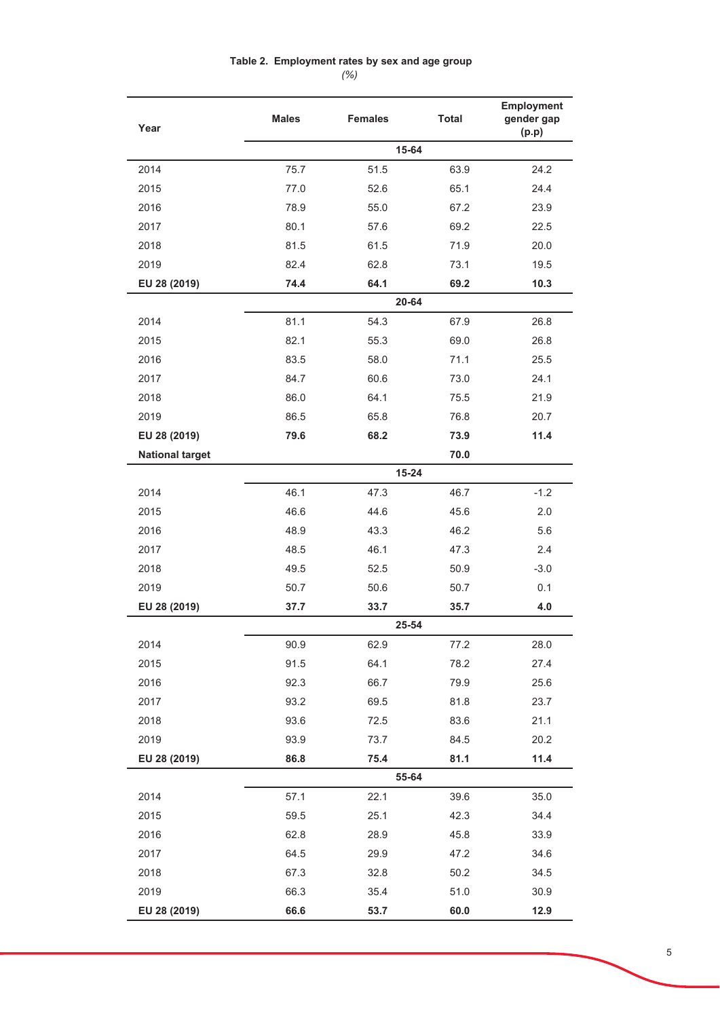# Table 2. Employment rates by sex and age group

*(%)*

| Year                   | <b>Males</b> | <b>Females</b> | <b>Total</b> | <b>Employment</b><br>gender gap<br>(p.p) |
|------------------------|--------------|----------------|--------------|------------------------------------------|
|                        |              | 15-64          |              |                                          |
| 2014                   | 75.7         | 51.5           | 63.9         | 24.2                                     |
| 2015                   | 77.0         | 52.6           | 65.1         | 24.4                                     |
| 2016                   | 78.9         | 55.0           | 67.2         | 23.9                                     |
| 2017                   | 80.1         | 57.6           | 69.2         | 22.5                                     |
| 2018                   | 81.5         | 61.5           | 71.9         | 20.0                                     |
| 2019                   | 82.4         | 62.8           | 73.1         | 19.5                                     |
| EU 28 (2019)           | 74.4         | 64.1           | 69.2         | 10.3                                     |
|                        |              | 20-64          |              |                                          |
| 2014                   | 81.1         | 54.3           | 67.9         | 26.8                                     |
| 2015                   | 82.1         | 55.3           | 69.0         | 26.8                                     |
| 2016                   | 83.5         | 58.0           | 71.1         | 25.5                                     |
| 2017                   | 84.7         | 60.6           | 73.0         | 24.1                                     |
| 2018                   | 86.0         | 64.1           | 75.5         | 21.9                                     |
| 2019                   | 86.5         | 65.8           | 76.8         | 20.7                                     |
| EU 28 (2019)           | 79.6         | 68.2           | 73.9         | 11.4                                     |
| <b>National target</b> |              |                | 70.0         |                                          |
|                        |              | 15-24          |              |                                          |
| 2014                   | 46.1         | 47.3           | 46.7         | $-1.2$                                   |
| 2015                   | 46.6         | 44.6           | 45.6         | 2.0                                      |
| 2016                   | 48.9         | 43.3           | 46.2         | 5.6                                      |
| 2017                   | 48.5         | 46.1           | 47.3         | 2.4                                      |
| 2018                   | 49.5         | 52.5           | 50.9         | $-3.0$                                   |
| 2019                   | 50.7         | 50.6           | 50.7         | 0.1                                      |
| EU 28 (2019)           | 37.7         | 33.7           | 35.7         | 4.0                                      |
|                        |              | 25-54          |              |                                          |
| 2014                   | 90.9         | 62.9           | 77.2         | 28.0                                     |
| 2015                   | 91.5         | 64.1           | 78.2         | 27.4                                     |
| 2016                   | 92.3         | 66.7           | 79.9         | 25.6                                     |
| 2017                   | 93.2         | 69.5           | 81.8         | 23.7                                     |
| 2018                   | 93.6         | 72.5           | 83.6         | 21.1                                     |
| 2019                   | 93.9         | 73.7           | 84.5         | 20.2                                     |
| EU 28 (2019)           | 86.8         | 75.4           | 81.1         | 11.4                                     |
|                        |              | 55-64          |              |                                          |
| 2014                   | 57.1         | 22.1           | 39.6         | 35.0                                     |
| 2015                   | 59.5         | 25.1           | 42.3         | 34.4                                     |
| 2016                   | 62.8         | 28.9           | 45.8         | 33.9                                     |
| 2017                   | 64.5         | 29.9           | 47.2         | 34.6                                     |
| 2018                   | 67.3         | 32.8           | 50.2         | 34.5                                     |
| 2019                   | 66.3         | 35.4           | 51.0         | 30.9                                     |
| EU 28 (2019)           | 66.6         | 53.7           | 60.0         | 12.9                                     |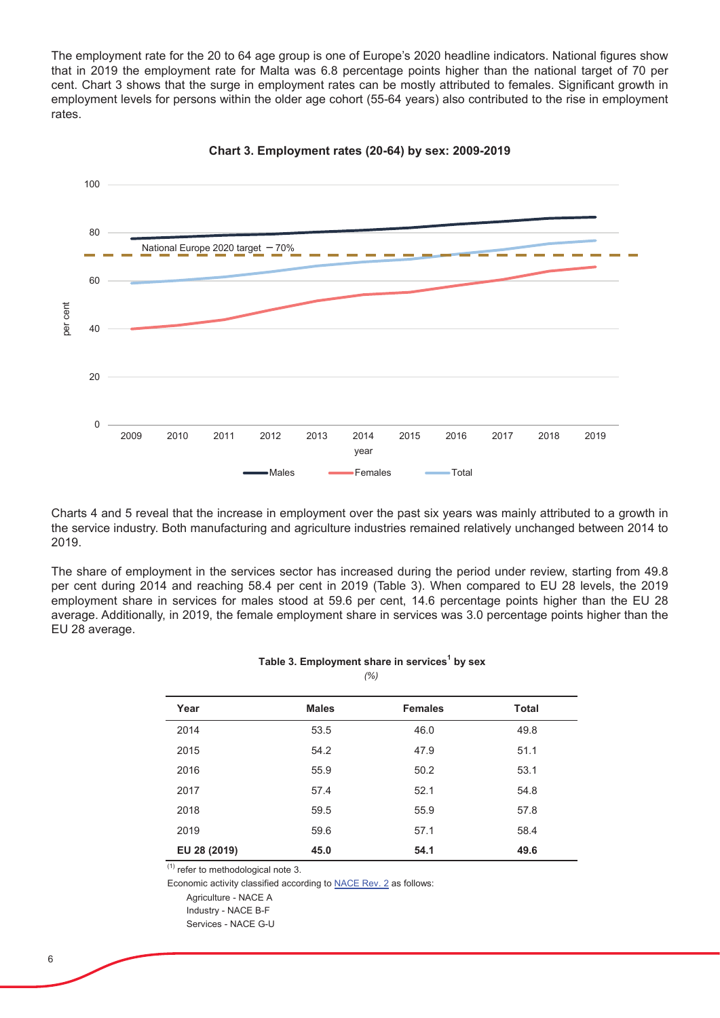The employment rate for the 20 to 64 age group is one of Europe's 2020 headline indicators. National figures show that in 2019 the employment rate for Malta was 6.8 percentage points higher than the national target of 70 per cent. Chart 3 shows that the surge in employment rates can be mostly attributed to females. Significant growth in employment levels for persons within the older age cohort (55-64 years) also contributed to the rise in employment rates.



**Chart 3. Employment rates (20-64) by sex: 2009-2019**

Charts 4 and 5 reveal that the increase in employment over the past six years was mainly attributed to a growth in the service industry. Both manufacturing and agriculture industries remained relatively unchanged between 2014 to 2019.

The share of employment in the services sector has increased during the period under review, starting from 49.8 per cent during 2014 and reaching 58.4 per cent in 2019 (Table 3). When compared to EU 28 levels, the 2019 employment share in services for males stood at 59.6 per cent, 14.6 percentage points higher than the EU 28 average. Additionally, in 2019, the female employment share in services was 3.0 percentage points higher than the EU 28 average.

#### Table 3. Employment share in services<sup>1</sup> by sex *(%)*

| Year         | <b>Males</b> | <b>Females</b> | <b>Total</b> |
|--------------|--------------|----------------|--------------|
| 2014         | 53.5         | 46.0           | 49.8         |
| 2015         | 54.2         | 47.9           | 51.1         |
| 2016         | 55.9         | 50.2           | 53.1         |
| 2017         | 57.4         | 52.1           | 54.8         |
| 2018         | 59.5         | 55.9           | 57.8         |
| 2019         | 59.6         | 57.1           | 58.4         |
| EU 28 (2019) | 45.0         | 54.1           | 49.6         |

 $\overline{^{(1)}}$  refer to methodological note 3.

Economic activity classified according to NACE Rev. 2 as follows:

Agriculture - NACE A

Industry - NACE B-F

Services - NACE G-U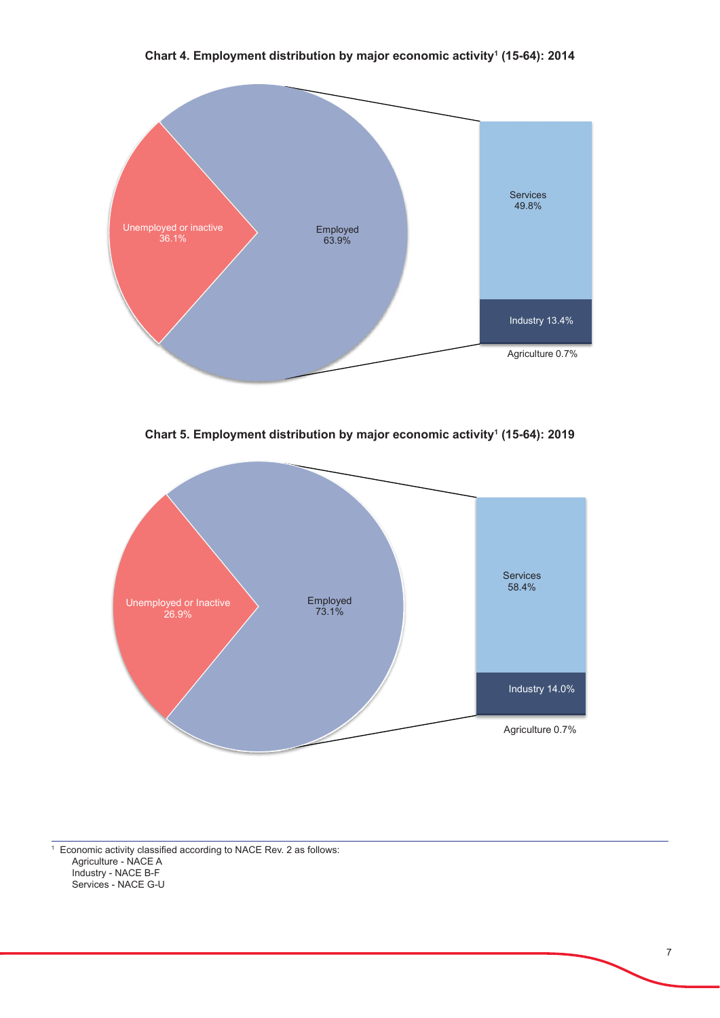

**Chart 5. Employment distribution by major economic activity1 (15-64): 2019**



<sup>1</sup> Economic activity classified according to [NACE Rev. 2](https://nso.gov.mt/metadata/classificationdetails.aspx?id=NACE%20Rev.%202) as follows: Agriculture - NACE A Industry - NACE B-F Services - NACE G-U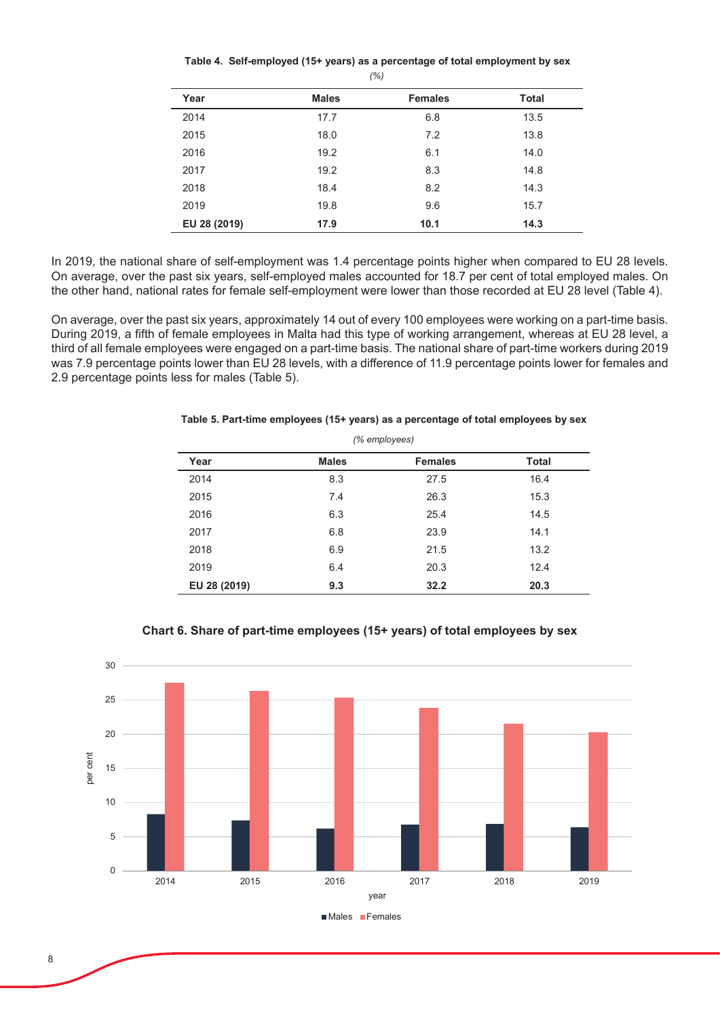| Year         | <b>Males</b> | <b>Females</b> | <b>Total</b> |
|--------------|--------------|----------------|--------------|
| 2014         | 17.7         | 6.8            | 13.5         |
| 2015         | 18.0         | 7.2            | 13.8         |
| 2016         | 19.2         | 6.1            | 14.0         |
| 2017         | 19.2         | 8.3            | 14.8         |
| 2018         | 18.4         | 8.2            | 14.3         |
| 2019         | 19.8         | 9.6            | 15.7         |
| EU 28 (2019) | 17.9         | 10.1           | 14.3         |

Table 4. Self-employed (15+ years) as a percentage of total employment by sex *(%)*

In 2019, the national share of self-employment was 1.4 percentage points higher when compared to EU 28 levels. On average, over the past six years, self-employed males accounted for 18.7 per cent of total employed males. On the other hand, national rates for female self-employment were lower than those recorded at EU 28 level (Table 4).

On average, over the past six years, approximately 14 out of every 100 employees were working on a part-time basis. During 2019, a fifth of female employees in Malta had this type of working arrangement, whereas at EU 28 level, a third of all female employees were engaged on a part-time basis. The national share of part-time workers during 2019 was 7.9 percentage points lower than EU 28 levels, with a difference of 11.9 percentage points lower for females and 2.9 percentage points less for males (Table 5).

| (% employees) |              |                |              |  |
|---------------|--------------|----------------|--------------|--|
| Year          | <b>Males</b> | <b>Females</b> | <b>Total</b> |  |
| 2014          | 8.3          | 27.5           | 16.4         |  |
| 2015          | 7.4          | 26.3           | 15.3         |  |
| 2016          | 6.3          | 25.4           | 14.5         |  |
| 2017          | 6.8          | 23.9           | 14.1         |  |
| 2018          | 6.9          | 21.5           | 13.2         |  |
| 2019          | 6.4          | 20.3           | 12.4         |  |
| EU 28 (2019)  | 9.3          | 32.2           | 20.3         |  |

Table 5. Part-time employees (15+ years) as a percentage of total employees by sex



# **Chart 6. Share of part-time employees (15+ years) of total employees by sex**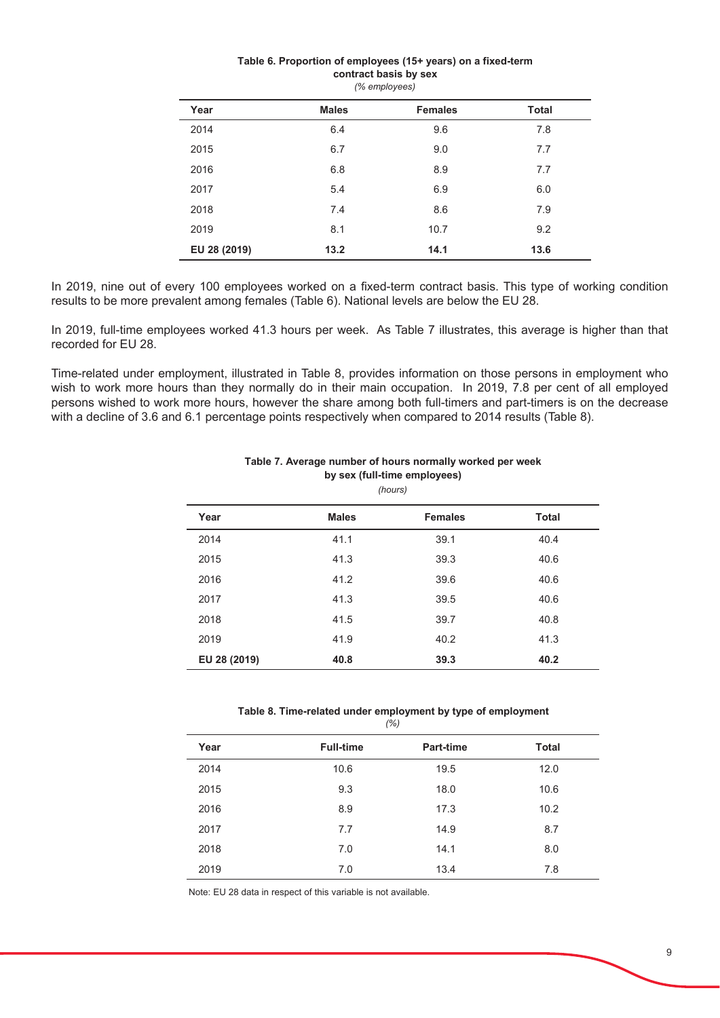| Year         | <b>Males</b> | <b>Females</b> | <b>Total</b> |
|--------------|--------------|----------------|--------------|
| 2014         | 6.4          | 9.6            | 7.8          |
| 2015         | 6.7          | 9.0            | 7.7          |
| 2016         | 6.8          | 8.9            | 7.7          |
| 2017         | 5.4          | 6.9            | 6.0          |
| 2018         | 7.4          | 8.6            | 7.9          |
| 2019         | 8.1          | 10.7           | 9.2          |
| EU 28 (2019) | 13.2         | 14.1           | 13.6         |
|              |              |                |              |

#### *(% employees)* Table 6. Proportion of employees (15+ years) on a fixed-term contract basis by sex

In 2019, nine out of every 100 employees worked on a fixed-term contract basis. This type of working condition results to be more prevalent among females (Table 6). National levels are below the EU 28.

In 2019, full-time employees worked 41.3 hours per week. As Table 7 illustrates, this average is higher than that recorded for EU 28.

Time-related under employment, illustrated in Table 8, provides information on those persons in employment who wish to work more hours than they normally do in their main occupation. In 2019, 7.8 per cent of all employed persons wished to work more hours, however the share among both full-timers and part-timers is on the decrease with a decline of 3.6 and 6.1 percentage points respectively when compared to 2014 results (Table 8).

|              |              | (hours)        |              |
|--------------|--------------|----------------|--------------|
| Year         | <b>Males</b> | <b>Females</b> | <b>Total</b> |
| 2014         | 41.1         | 39.1           | 40.4         |
| 2015         | 41.3         | 39.3           | 40.6         |
| 2016         | 41.2         | 39.6           | 40.6         |
| 2017         | 41.3         | 39.5           | 40.6         |
| 2018         | 41.5         | 39.7           | 40.8         |
| 2019         | 41.9         | 40.2           | 41.3         |
| EU 28 (2019) | 40.8         | 39.3           | 40.2         |

#### Table 7. Average number of hours normally worked per week by sex (full-time employees)

*(%)* Table 8. Time-related under employment by type of employment

| Year | <b>Full-time</b> | Part-time | <b>Total</b> |
|------|------------------|-----------|--------------|
| 2014 | 10.6             | 19.5      | 12.0         |
| 2015 | 9.3              | 18.0      | 10.6         |
| 2016 | 8.9              | 17.3      | 10.2         |
| 2017 | 7.7              | 14.9      | 8.7          |
| 2018 | 7.0              | 14.1      | 8.0          |
| 2019 | 7.0              | 13.4      | 7.8          |

Note: EU 28 data in respect of this variable is not available.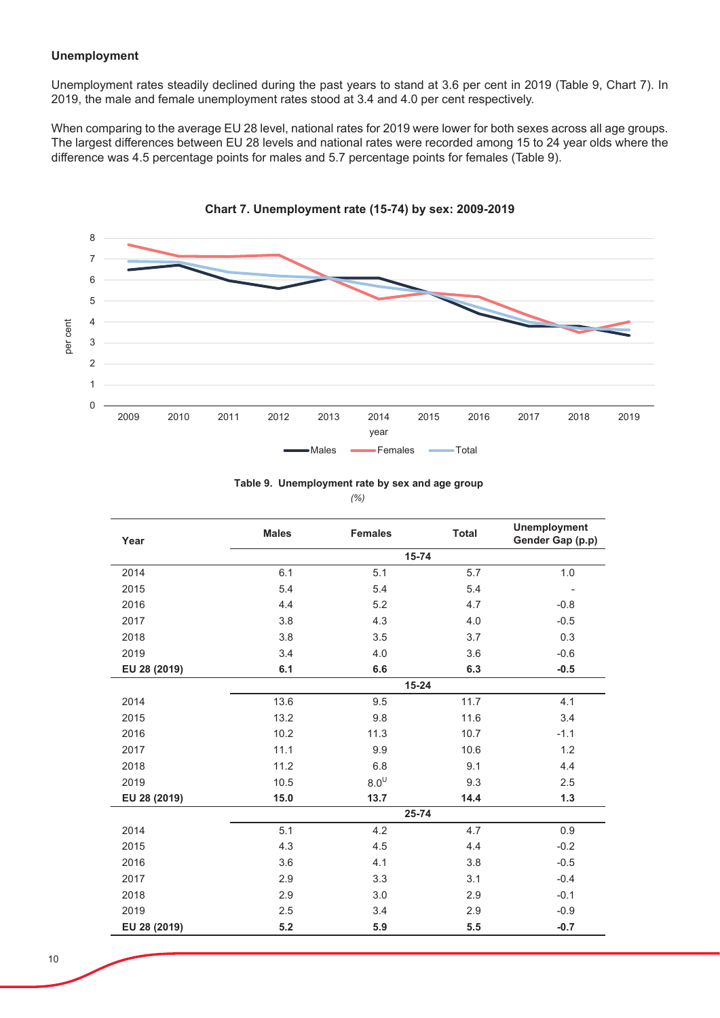## **Unemployment**

Unemployment rates steadily declined during the past years to stand at 3.6 per cent in 2019 (Table 9, Chart 7). In 2019, the male and female unemployment rates stood at 3.4 and 4.0 per cent respectively.

When comparing to the average EU 28 level, national rates for 2019 were lower for both sexes across all age groups. The largest differences between EU 28 levels and national rates were recorded among 15 to 24 year olds where the difference was 4.5 percentage points for males and 5.7 percentage points for females (Table 9).



Table 9. Unemployment rate by sex and age group

*(%)*

| Year         | <b>Males</b> | <b>Females</b> | <b>Total</b> | <b>Unemployment</b><br>Gender Gap (p.p) |
|--------------|--------------|----------------|--------------|-----------------------------------------|
|              |              | 15-74          |              |                                         |
| 2014         | 6.1          | 5.1            | 5.7          | $1.0\,$                                 |
| 2015         | 5.4          | 5.4            | 5.4          | $\overline{\phantom{a}}$                |
| 2016         | 4.4          | 5.2            | 4.7          | $-0.8$                                  |
| 2017         | 3.8          | 4.3            | 4.0          | $-0.5$                                  |
| 2018         | 3.8          | 3.5            | 3.7          | 0.3                                     |
| 2019         | 3.4          | 4.0            | 3.6          | $-0.6$                                  |
| EU 28 (2019) | 6.1          | 6.6            | 6.3          | $-0.5$                                  |
|              | $15 - 24$    |                |              |                                         |
| 2014         | 13.6         | 9.5            | 11.7         | 4.1                                     |
| 2015         | 13.2         | 9.8            | 11.6         | 3.4                                     |
| 2016         | 10.2         | 11.3           | 10.7         | $-1.1$                                  |
| 2017         | 11.1         | 9.9            | 10.6         | 1.2                                     |
| 2018         | 11.2         | 6.8            | 9.1          | 4.4                                     |
| 2019         | 10.5         | $8.0^{\cup}$   | 9.3          | 2.5                                     |
| EU 28 (2019) | 15.0         | 13.7           | 14.4         | 1.3                                     |
|              |              | 25-74          |              |                                         |
| 2014         | 5.1          | 4.2            | 4.7          | 0.9                                     |
| 2015         | 4.3          | 4.5            | 4.4          | $-0.2$                                  |
| 2016         | 3.6          | 4.1            | 3.8          | $-0.5$                                  |
| 2017         | 2.9          | 3.3            | 3.1          | $-0.4$                                  |
| 2018         | 2.9          | 3.0            | 2.9          | $-0.1$                                  |
| 2019         | 2.5          | 3.4            | 2.9          | $-0.9$                                  |
| EU 28 (2019) | 5.2          | 5.9            | 5.5          | $-0.7$                                  |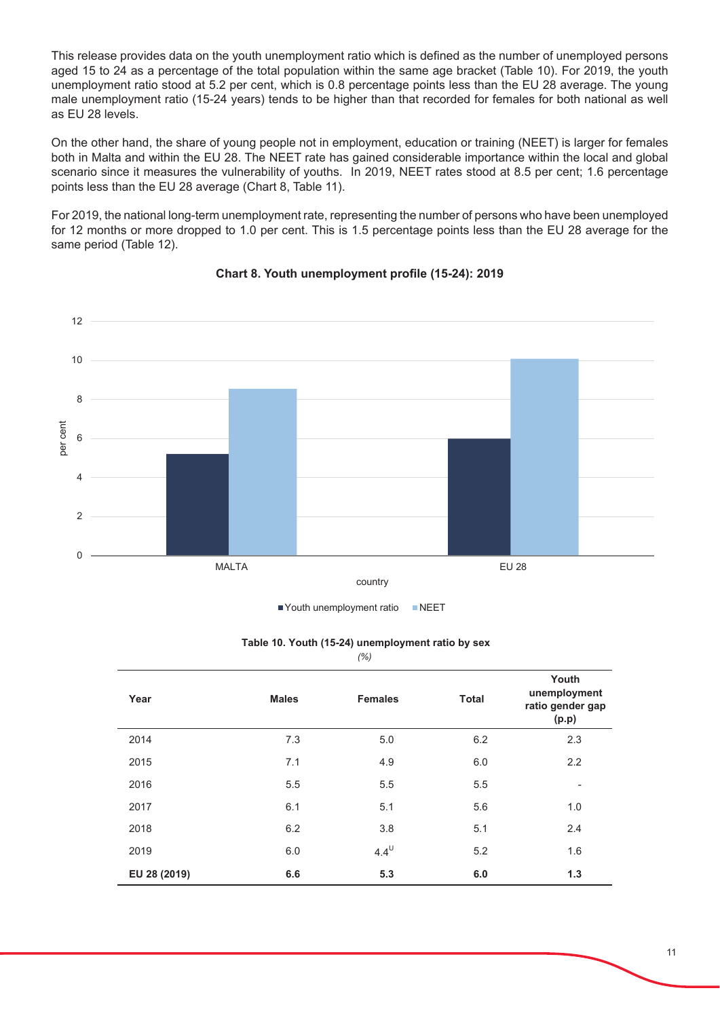This release provides data on the youth unemployment ratio which is defined as the number of unemployed persons aged 15 to 24 as a percentage of the total population within the same age bracket (Table 10). For 2019, the youth unemployment ratio stood at 5.2 per cent, which is 0.8 percentage points less than the EU 28 average. The young male unemployment ratio (15-24 years) tends to be higher than that recorded for females for both national as well as EU 28 levels.

On the other hand, the share of young people not in employment, education or training (NEET) is larger for females both in Malta and within the EU 28. The NEET rate has gained considerable importance within the local and global scenario since it measures the vulnerability of youths. In 2019, NEET rates stood at 8.5 per cent; 1.6 percentage points less than the EU 28 average (Chart 8, Table 11).

For 2019, the national long-term unemployment rate, representing the number of persons who have been unemployed for 12 months or more dropped to 1.0 per cent. This is 1.5 percentage points less than the EU 28 average for the same period (Table 12).



# **Chart 8. Youth unemployment profile (15-24): 2019**

| Youth unemployment ratio | <b>NEET</b> |
|--------------------------|-------------|
|                          |             |

| Year         | <b>Males</b> | <b>Females</b> | <b>Total</b> | Youth<br>unemployment<br>ratio gender gap<br>(p.p) |
|--------------|--------------|----------------|--------------|----------------------------------------------------|
| 2014         | 7.3          | 5.0            | 6.2          | 2.3                                                |
| 2015         | 7.1          | 4.9            | 6.0          | 2.2                                                |
| 2016         | 5.5          | 5.5            | 5.5          | ۰                                                  |
| 2017         | 6.1          | 5.1            | 5.6          | 1.0                                                |
| 2018         | 6.2          | 3.8            | 5.1          | 2.4                                                |
| 2019         | 6.0          | $4.4^{\cup}$   | 5.2          | 1.6                                                |
| EU 28 (2019) | 6.6          | 5.3            | 6.0          | 1.3                                                |

### Table 10. Youth (15-24) unemployment ratio by sex

*(%)*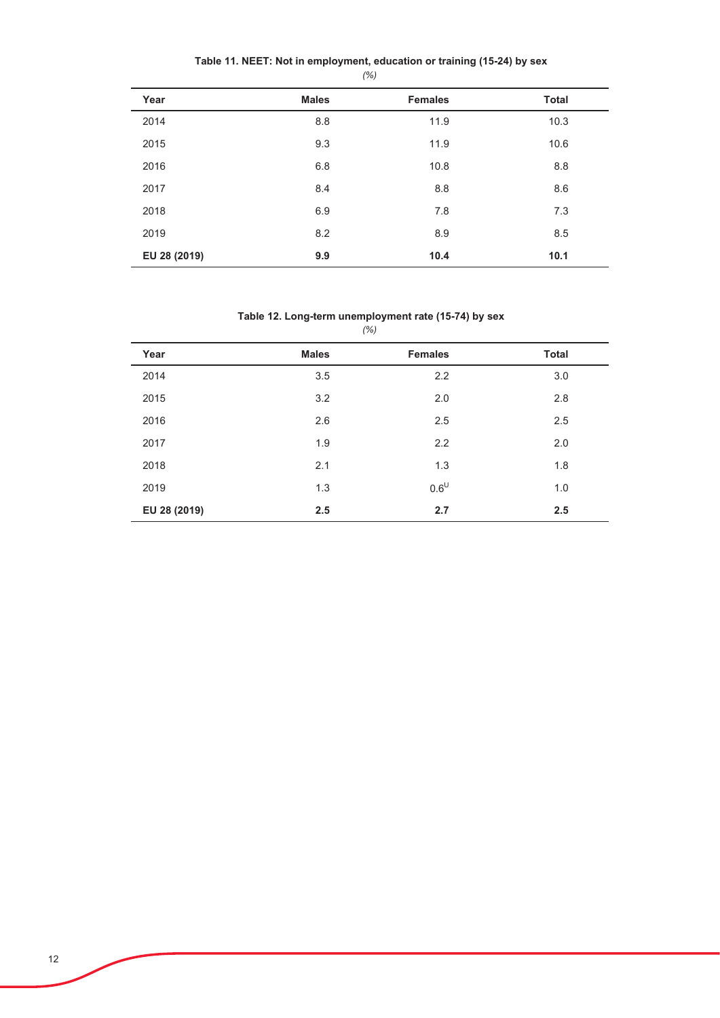|  | Table 11. NEET: Not in employment, education or training (15-24) by sex |
|--|-------------------------------------------------------------------------|
|--|-------------------------------------------------------------------------|

*(%)*

| Year         | <b>Males</b> | <b>Females</b> | <b>Total</b> |
|--------------|--------------|----------------|--------------|
| 2014         | 8.8          | 11.9           | 10.3         |
| 2015         | 9.3          | 11.9           | 10.6         |
| 2016         | 6.8          | 10.8           | 8.8          |
| 2017         | 8.4          | 8.8            | 8.6          |
| 2018         | 6.9          | 7.8            | 7.3          |
| 2019         | 8.2          | 8.9            | 8.5          |
| EU 28 (2019) | 9.9          | 10.4           | 10.1         |

# Table 12. Long-term unemployment rate (15-74) by sex

|              | $\cdots$     |                |              |
|--------------|--------------|----------------|--------------|
| Year         | <b>Males</b> | <b>Females</b> | <b>Total</b> |
| 2014         | 3.5          | 2.2            | 3.0          |
| 2015         | 3.2          | 2.0            | 2.8          |
| 2016         | 2.6          | 2.5            | 2.5          |
| 2017         | 1.9          | 2.2            | 2.0          |
| 2018         | 2.1          | 1.3            | 1.8          |
| 2019         | 1.3          | $0.6^{\cup}$   | 1.0          |
| EU 28 (2019) | 2.5          | 2.7            | 2.5          |

*(%)*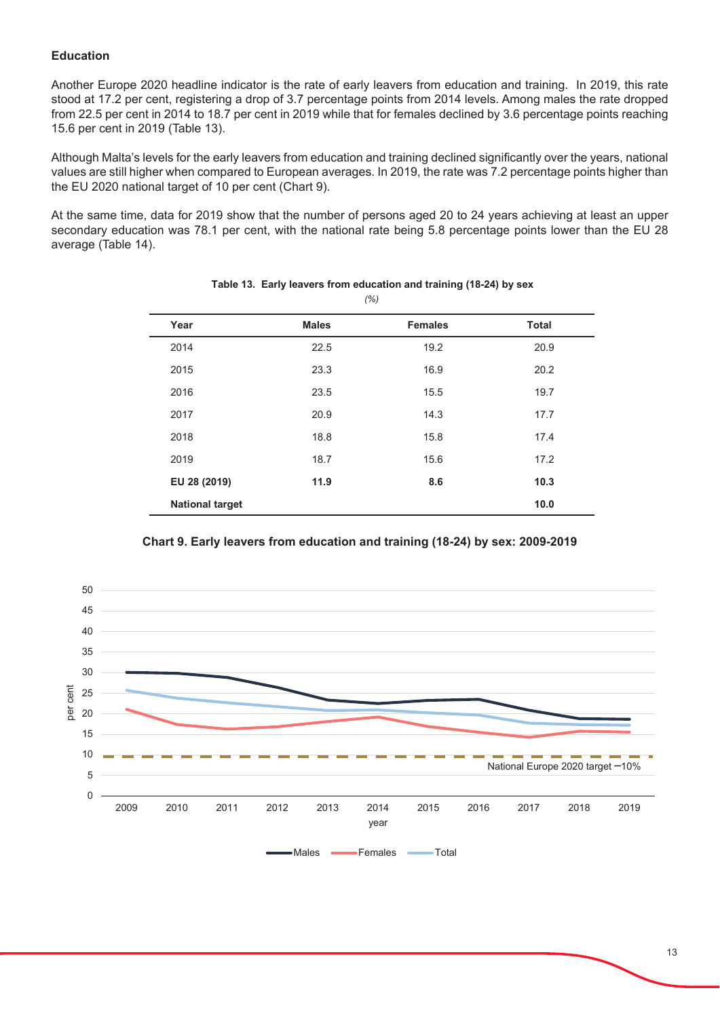# **Education**

Another Europe 2020 headline indicator is the rate of early leavers from education and training. In 2019, this rate stood at 17.2 per cent, registering a drop of 3.7 percentage points from 2014 levels. Among males the rate dropped from 22.5 per cent in 2014 to 18.7 per cent in 2019 while that for females declined by 3.6 percentage points reaching 15.6 per cent in 2019 (Table 13).

Although Malta's levels for the early leavers from education and training declined significantly over the years, national values are still higher when compared to European averages. In 2019, the rate was 7.2 percentage points higher than the EU 2020 national target of 10 per cent (Chart 9).

At the same time, data for 2019 show that the number of persons aged 20 to 24 years achieving at least an upper secondary education was 78.1 per cent, with the national rate being 5.8 percentage points lower than the EU 28 average (Table 14).

| $\sqrt{2}$             |              |                |              |  |
|------------------------|--------------|----------------|--------------|--|
| Year                   | <b>Males</b> | <b>Females</b> | <b>Total</b> |  |
| 2014                   | 22.5         | 19.2           | 20.9         |  |
| 2015                   | 23.3         | 16.9           | 20.2         |  |
| 2016                   | 23.5         | 15.5           | 19.7         |  |
| 2017                   | 20.9         | 14.3           | 17.7         |  |
| 2018                   | 18.8         | 15.8           | 17.4         |  |
| 2019                   | 18.7         | 15.6           | 17.2         |  |
| EU 28 (2019)           | 11.9         | 8.6            | 10.3         |  |
| <b>National target</b> |              |                | 10.0         |  |

#### Table 13. Early leavers from education and training (18-24) by sex *(%)*



**Chart 9. Early leavers from education and training (18-24) by sex: 2009-2019**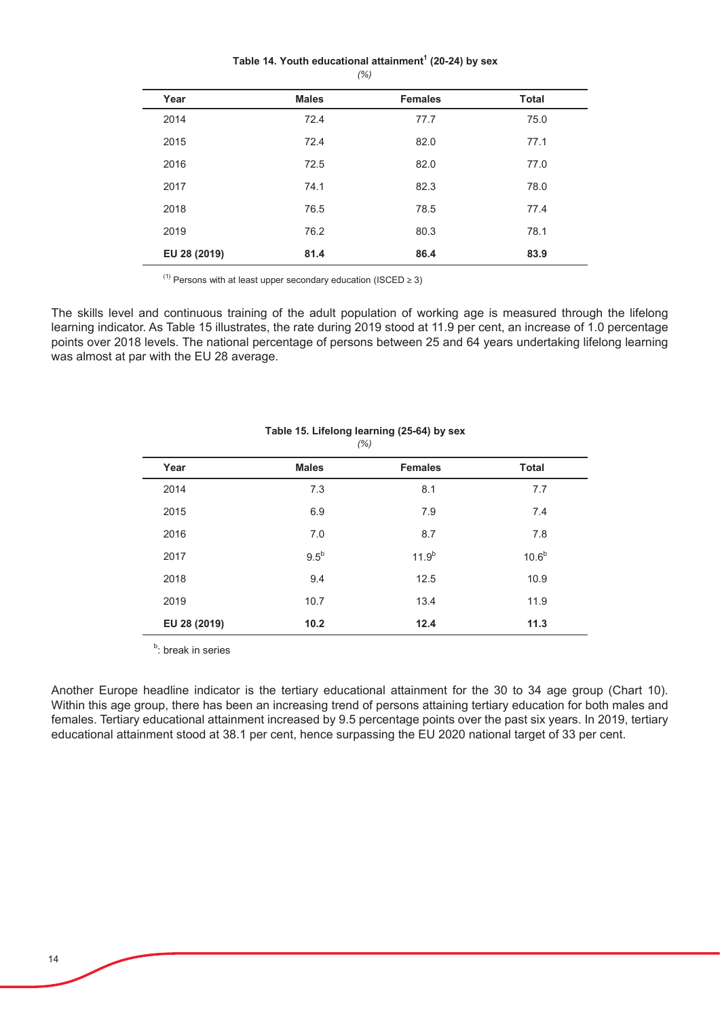#### Table 14. Youth educational attainment<sup>1</sup> (20-24) by sex *(%)*

| Year         | <b>Males</b> | <b>Females</b> | <b>Total</b> |  |
|--------------|--------------|----------------|--------------|--|
| 2014         | 72.4         | 77.7           | 75.0         |  |
| 2015         | 72.4         | 82.0           | 77.1         |  |
| 2016         | 72.5         | 82.0           | 77.0         |  |
| 2017         | 74.1         | 82.3           | 78.0         |  |
| 2018         | 76.5         | 78.5           | 77.4         |  |
| 2019         | 76.2         | 80.3           | 78.1         |  |
| EU 28 (2019) | 81.4         | 86.4           | 83.9         |  |

 $(1)$  Persons with at least upper secondary education (ISCED  $\geq 3$ )

The skills level and continuous training of the adult population of working age is measured through the lifelong learning indicator. As Table 15 illustrates, the rate during 2019 stood at 11.9 per cent, an increase of 1.0 percentage points over 2018 levels. The national percentage of persons between 25 and 64 years undertaking lifelong learning was almost at par with the EU 28 average.

|              |              | (70)           |                   |  |
|--------------|--------------|----------------|-------------------|--|
| Year         | <b>Males</b> | <b>Females</b> | <b>Total</b>      |  |
| 2014         | 7.3          | 8.1            | 7.7               |  |
| 2015         | 6.9          | 7.9            | 7.4               |  |
| 2016         | 7.0          | 8.7            | 7.8               |  |
| 2017         | $9.5^b$      | $11.9^{b}$     | 10.6 <sup>b</sup> |  |
| 2018         | 9.4          | 12.5           | 10.9              |  |
| 2019         | 10.7         | 13.4           | 11.9              |  |
| EU 28 (2019) | 10.2         | 12.4           | 11.3              |  |

## Table 15. Lifelong learning (25-64) by sex *(%)*

<sup>b</sup>: break in series

Another Europe headline indicator is the tertiary educational attainment for the 30 to 34 age group (Chart 10). Within this age group, there has been an increasing trend of persons attaining tertiary education for both males and females. Tertiary educational attainment increased by 9.5 percentage points over the past six years. In 2019, tertiary educational attainment stood at 38.1 per cent, hence surpassing the EU 2020 national target of 33 per cent.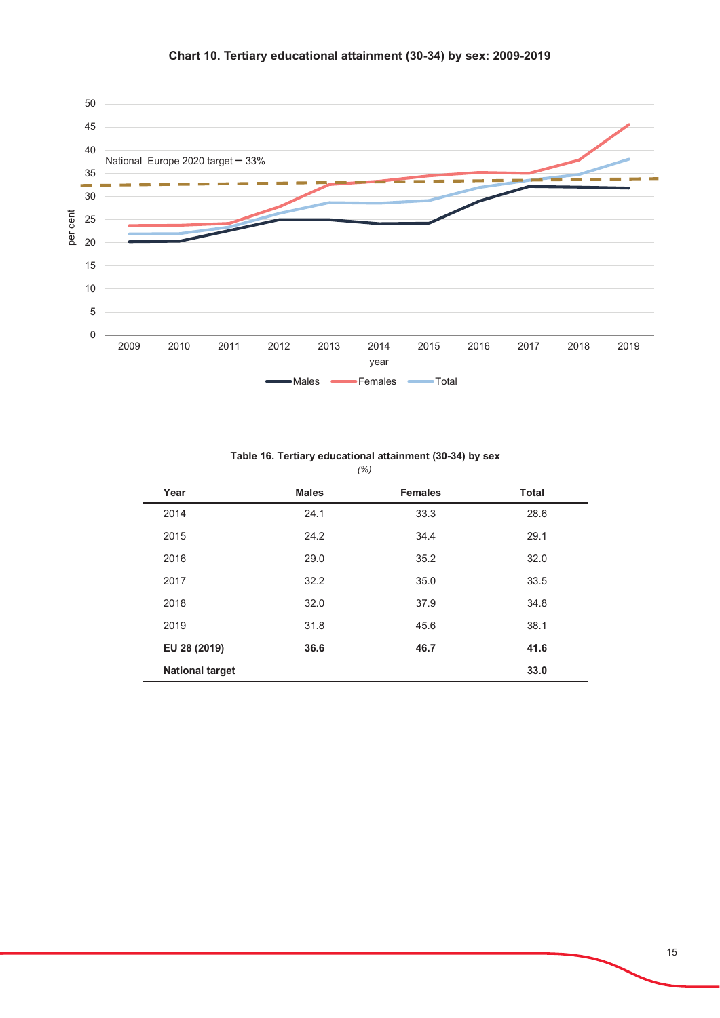

| Table 16. Tertiary educational attainment (30-34) by sex |  |  |
|----------------------------------------------------------|--|--|
| (%)                                                      |  |  |

| Year                   | <b>Males</b> | <b>Females</b> | <b>Total</b> |
|------------------------|--------------|----------------|--------------|
| 2014                   | 24.1         | 33.3           | 28.6         |
| 2015                   | 24.2         | 34.4           | 29.1         |
| 2016                   | 29.0         | 35.2           | 32.0         |
| 2017                   | 32.2         | 35.0           | 33.5         |
| 2018                   | 32.0         | 37.9           | 34.8         |
| 2019                   | 31.8         | 45.6           | 38.1         |
| EU 28 (2019)           | 36.6         | 46.7           | 41.6         |
| <b>National target</b> |              |                | 33.0         |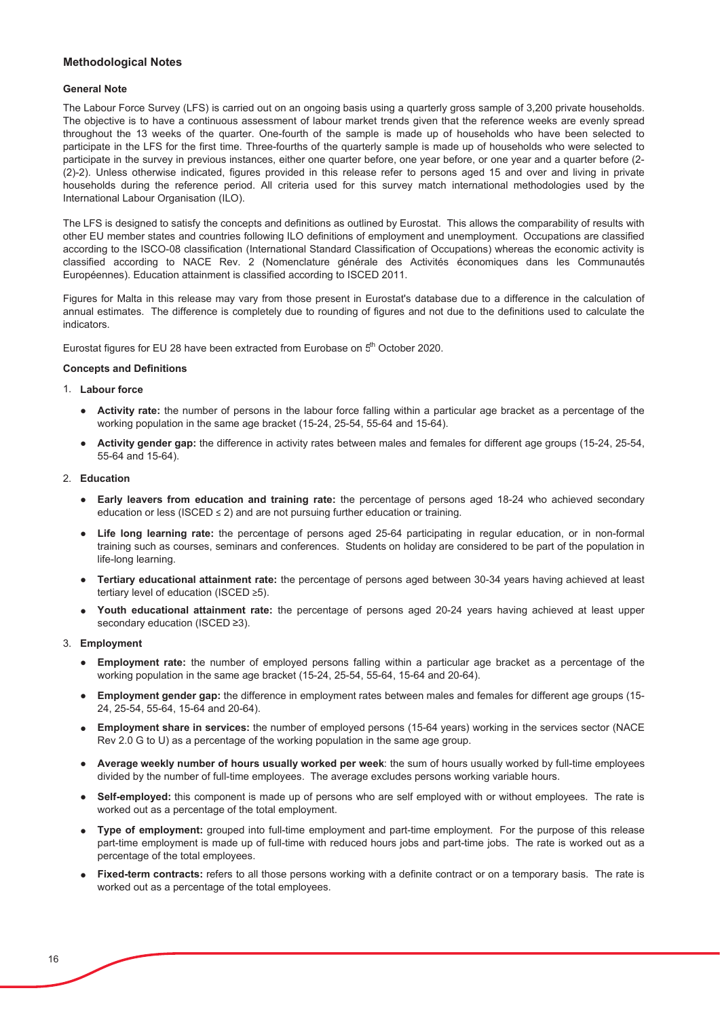### **Methodological Notes**

### **General Note**

The Labour Force Survey (LFS) is carried out on an ongoing basis using a quarterly gross sample of 3,200 private households. The objective is to have a continuous assessment of labour market trends given that the reference weeks are evenly spread throughout the 13 weeks of the quarter. One-fourth of the sample is made up of households who have been selected to participate in the LFS for the first time. Three-fourths of the quarterly sample is made up of households who were selected to participate in the survey in previous instances, either one quarter before, one year before, or one year and a quarter before (2-(2)-2). Unless otherwise indicated, figures provided in this release refer to persons aged 15 and over and living in private households during the reference period. All criteria used for this survey match international methodologies used by the International Labour Organisation (ILO).

The LFS is designed to satisfy the concepts and definitions as outlined by Eurostat. This allows the comparability of results with other EU member states and countries following ILO definitions of employment and unemployment. Occupations are classified according to the ISCO-08 classification (International Standard Classification of Occupations) whereas the economic activity is classified according to NACE Rev. 2 (Nomenclature générale des Activités économiques dans les Communautés Européennes). Education attainment is classified according to ISCED 2011.

Figures for Malta in this release may vary from those present in Eurostat's database due to a difference in the calculation of annual estimates. The difference is completely due to rounding of figures and not due to the definitions used to calculate the indicators.

Eurostat figures for EU 28 have been extracted from Eurobase on 5<sup>th</sup> October 2020.

#### **Concepts and Definitions**

#### 1. Labour force

- **Activity rate:** the number of persons in the labour force falling within a particular age bracket as a percentage of the working population in the same age bracket (15-24, 25-54, 55-64 and 15-64).
- **Activity gender gap:** the difference in activity rates between males and females for different age groups (15-24, 25-54,  $55-64$  and  $15-64$ ).

### 2. **Education**

- **Early leavers from education and training rate:** the percentage of persons aged 18-24 who achieved secondary education or less (ISCED  $\leq$  2) and are not pursuing further education or training.
- **Life long learning rate:** the percentage of persons aged 25-64 participating in regular education, or in non-formal training such as courses, seminars and conferences. Students on holiday are considered to be part of the population in life-long learning.
- **Tertiary educational attainment rate:** the percentage of persons aged between 30-34 years having achieved at least tertiary level of education (ISCED  $\geq 5$ ).
- $\bullet$ Youth educational attainment rate: the percentage of persons aged 20-24 years having achieved at least upper secondary education (ISCED  $\geq$ 3).

#### 3. **Employment**

- $\bullet$ **Employment rate:** the number of employed persons falling within a particular age bracket as a percentage of the working population in the same age bracket  $(15-24, 25-54, 55-64, 15-64, 20-64)$ .
- **Employment gender gap:** the difference in employment rates between males and females for different age groups (15-24, 25-54, 55-64, 15-64 and 20-64).
- **Employment share in services:** the number of employed persons (15-64 years) working in the services sector (NACE Rev 2.0 G to U) as a percentage of the working population in the same age group.
- **Average weekly number of hours usually worked per week**: the sum of hours usually worked by full-time employees divided by the number of full-time employees. The average excludes persons working variable hours.
- $\bullet$ **Self-employed:** this component is made up of persons who are self employed with or without employees. The rate is worked out as a percentage of the total employment.
- **Type of employment:** grouped into full-time employment and part-time employment. For the purpose of this release part-time employment is made up of full-time with reduced hours iobs and part-time iobs. The rate is worked out as a percentage of the total employees.
- භ Fixed-term contracts: refers to all those persons working with a definite contract or on a temporary basis. The rate is worked out as a percentage of the total employees.